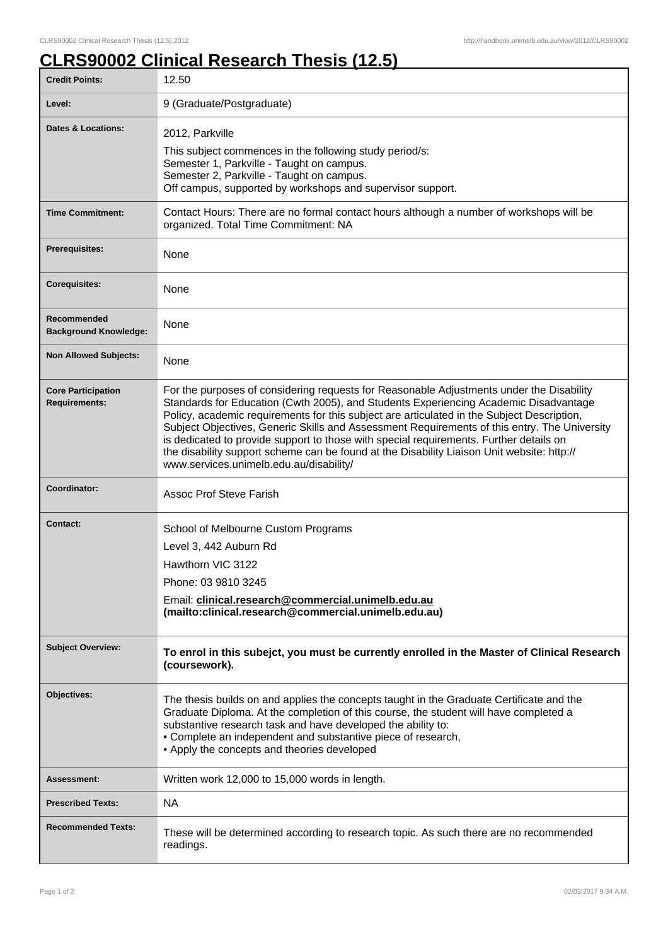## **CLRS90002 Clinical Research Thesis (12.5)**

| <b>Credit Points:</b>                             | 12.50                                                                                                                                                                                                                                                                                                                                                                                                                                                                                                                                                                                                             |
|---------------------------------------------------|-------------------------------------------------------------------------------------------------------------------------------------------------------------------------------------------------------------------------------------------------------------------------------------------------------------------------------------------------------------------------------------------------------------------------------------------------------------------------------------------------------------------------------------------------------------------------------------------------------------------|
| Level:                                            | 9 (Graduate/Postgraduate)                                                                                                                                                                                                                                                                                                                                                                                                                                                                                                                                                                                         |
| Dates & Locations:                                | 2012, Parkville<br>This subject commences in the following study period/s:<br>Semester 1, Parkville - Taught on campus.<br>Semester 2, Parkville - Taught on campus.<br>Off campus, supported by workshops and supervisor support.                                                                                                                                                                                                                                                                                                                                                                                |
| <b>Time Commitment:</b>                           | Contact Hours: There are no formal contact hours although a number of workshops will be<br>organized. Total Time Commitment: NA                                                                                                                                                                                                                                                                                                                                                                                                                                                                                   |
| <b>Prerequisites:</b>                             | None                                                                                                                                                                                                                                                                                                                                                                                                                                                                                                                                                                                                              |
| <b>Corequisites:</b>                              | None                                                                                                                                                                                                                                                                                                                                                                                                                                                                                                                                                                                                              |
| Recommended<br><b>Background Knowledge:</b>       | None                                                                                                                                                                                                                                                                                                                                                                                                                                                                                                                                                                                                              |
| <b>Non Allowed Subjects:</b>                      | None                                                                                                                                                                                                                                                                                                                                                                                                                                                                                                                                                                                                              |
| <b>Core Participation</b><br><b>Requirements:</b> | For the purposes of considering requests for Reasonable Adjustments under the Disability<br>Standards for Education (Cwth 2005), and Students Experiencing Academic Disadvantage<br>Policy, academic requirements for this subject are articulated in the Subject Description,<br>Subject Objectives, Generic Skills and Assessment Requirements of this entry. The University<br>is dedicated to provide support to those with special requirements. Further details on<br>the disability support scheme can be found at the Disability Liaison Unit website: http://<br>www.services.unimelb.edu.au/disability/ |
| Coordinator:                                      | <b>Assoc Prof Steve Farish</b>                                                                                                                                                                                                                                                                                                                                                                                                                                                                                                                                                                                    |
| <b>Contact:</b>                                   | School of Melbourne Custom Programs<br>Level 3, 442 Auburn Rd<br>Hawthorn VIC 3122<br>Phone: 03 9810 3245<br>Email: clinical.research@commercial.unimelb.edu.au<br>(mailto:clinical.research@commercial.unimelb.edu.au)                                                                                                                                                                                                                                                                                                                                                                                           |
| <b>Subject Overview:</b>                          | To enrol in this subejct, you must be currently enrolled in the Master of Clinical Research<br>(coursework).                                                                                                                                                                                                                                                                                                                                                                                                                                                                                                      |
| Objectives:                                       | The thesis builds on and applies the concepts taught in the Graduate Certificate and the<br>Graduate Diploma. At the completion of this course, the student will have completed a<br>substantive research task and have developed the ability to:<br>• Complete an independent and substantive piece of research,<br>• Apply the concepts and theories developed                                                                                                                                                                                                                                                  |
| <b>Assessment:</b>                                | Written work 12,000 to 15,000 words in length.                                                                                                                                                                                                                                                                                                                                                                                                                                                                                                                                                                    |
| <b>Prescribed Texts:</b>                          | <b>NA</b>                                                                                                                                                                                                                                                                                                                                                                                                                                                                                                                                                                                                         |
| <b>Recommended Texts:</b>                         | These will be determined according to research topic. As such there are no recommended<br>readings.                                                                                                                                                                                                                                                                                                                                                                                                                                                                                                               |